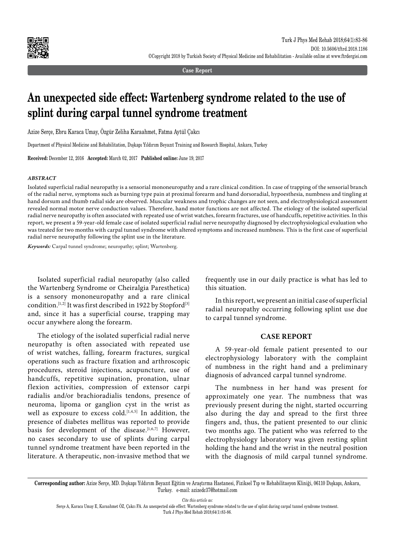

**Case Report**

# **An unexpected side effect: Wartenberg syndrome related to the use of splint during carpal tunnel syndrome treatment**

Azize Serçe, Ebru Karaca Umay, Özgür Zeliha Karaahmet, Fatma Aytül Çakcı

Department of Physical Medicine and Rehabilitation, Dışkapı Yıldırım Beyazıt Training and Research Hospital, Ankara, Turkey

**Received:** December 12, 2016 **Accepted:** March 02, 2017 **Published online:** June 19, 2017

### *ABSTRACT*

Isolated superficial radial neuropathy is a sensorial mononeuropathy and a rare clinical condition. In case of trapping of the sensorial branch of the radial nerve, symptoms such as burning type pain at proximal forearm and hand dorsoradial, hypoesthesia, numbness and tingling at hand dorsum and thumb radial side are observed. Muscular weakness and trophic changes are not seen, and electrophysiological assessment revealed normal motor nerve conduction values. Therefore, hand motor functions are not affected. The etiology of the isolated superficial radial nerve neuropathy is often associated with repeated use of wrist watches, forearm fractures, use of handcuffs, repetitive activities. In this report, we present a 59-year-old female case of isolated superficial radial nerve neuropathy diagnosed by electrophysiological evaluation who was treated for two months with carpal tunnel syndrome with altered symptoms and increased numbness. This is the first case of superficial radial nerve neuropathy following the splint use in the literature.

*Keywords:* Carpal tunnel syndrome; neuropathy; splint; Wartenberg.

Isolated superficial radial neuropathy (also called the Wartenberg Syndrome or Cheiralgia Paresthetica) is a sensory mononeuropathy and a rare clinical condition.<sup>[1,2]</sup> It was first described in 1922 by Stopford<sup>[3]</sup> and, since it has a superficial course, trapping may occur anywhere along the forearm.

The etiology of the isolated superficial radial nerve neuropathy is often associated with repeated use of wrist watches, falling, forearm fractures, surgical operations such as fracture fixation and arthroscopic procedures, steroid injections, acupuncture, use of handcuffs, repetitive supination, pronation, ulnar flexion activities, compression of extensor carpi radialis and/or brachioradialis tendons, presence of neuroma, lipoma or ganglion cyst in the wrist as well as exposure to excess cold.<sup>[1,4,5]</sup> In addition, the presence of diabetes mellitus was reported to provide basis for development of the disease.<sup>[1,6,7]</sup> However, no cases secondary to use of splints during carpal tunnel syndrome treatment have been reported in the literature. A therapeutic, non-invasive method that we

frequently use in our daily practice is what has led to this situation.

In this report, we present an initial case of superficial radial neuropathy occurring following splint use due to carpal tunnel syndrome.

## **CASE REPORT**

A 59-year-old female patient presented to our electrophysiology laboratory with the complaint of numbness in the right hand and a preliminary diagnosis of advanced carpal tunnel syndrome.

The numbness in her hand was present for approximately one year. The numbness that was previously present during the night, started occurring also during the day and spread to the first three fingers and, thus, the patient presented to our clinic two months ago. The patient who was referred to the electrophysiology laboratory was given resting splint holding the hand and the wrist in the neutral position with the diagnosis of mild carpal tunnel syndrome.

*Cite this article as:*

**Corresponding author:** Azize Serçe, MD. Dışkapı Yıldırım Beyazıt Eğitim ve Araştırma Hastanesi, Fiziksel Tıp ve Rehabilitasyon Kliniği, 06110 Dışkapı, Ankara, Turkey. e-mail: azizedc37@hotmail.com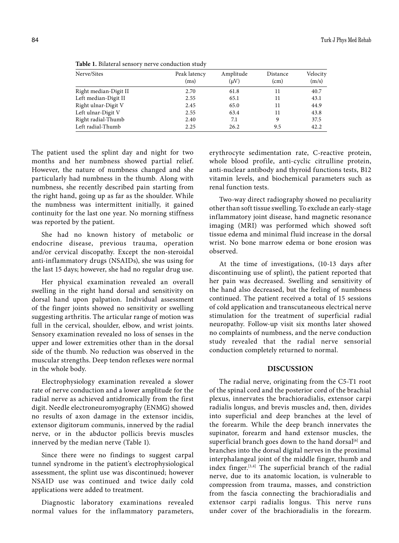| Nerve/Sites           | Peak latency<br>(ms) | Amplitude<br>$(\mu V)$ | Distance<br>(cm) | Velocity<br>(m/s) |
|-----------------------|----------------------|------------------------|------------------|-------------------|
| Right median-Digit II | 2.70                 | 61.8                   | 11               | 40.7              |
| Left median-Digit II  | 2.55                 | 65.1                   | 11               | 43.1              |
| Right ulnar-Digit V   | 2.45                 | 65.0                   | 11               | 44.9              |
| Left ulnar-Digit V    | 2.55                 | 63.4                   | 11               | 43.8              |
| Right radial-Thumb    | 2.40                 | 7.1                    | 9                | 37.5              |
| Left radial-Thumb     | 2.25                 | 26.2                   | 9.5              | 42.2              |

**Table 1.** Bilateral sensory nerve conduction study

The patient used the splint day and night for two months and her numbness showed partial relief. However, the nature of numbness changed and she particularly had numbness in the thumb. Along with numbness, she recently described pain starting from the right hand, going up as far as the shoulder. While the numbness was intermittent initially, it gained continuity for the last one year. No morning stiffness was reported by the patient.

She had no known history of metabolic or endocrine disease, previous trauma, operation and/or cervical discopathy. Except the non-steroidal anti-inflammatory drugs (NSAIDs), she was using for the last 15 days; however, she had no regular drug use.

Her physical examination revealed an overall swelling in the right hand dorsal and sensitivity on dorsal hand upon palpation. Individual assessment of the finger joints showed no sensitivity or swelling suggesting arthritis. The articular range of motion was full in the cervical, shoulder, elbow, and wrist joints. Sensory examination revealed no loss of senses in the upper and lower extremities other than in the dorsal side of the thumb. No reduction was observed in the muscular strengths. Deep tendon reflexes were normal in the whole body.

Electrophysiology examination revealed a slower rate of nerve conduction and a lower amplitude for the radial nerve as achieved antidromically from the first digit. Needle electroneuromyography (ENMG) showed no results of axon damage in the extensor incidis, extensor digitorum communis, innerved by the radial nerve, or in the abductor pollicis brevis muscles innerved by the median nerve (Table 1).

Since there were no findings to suggest carpal tunnel syndrome in the patient's electrophysiological assessment, the splint use was discontinued; however NSAID use was continued and twice daily cold applications were added to treatment.

Diagnostic laboratory examinations revealed normal values for the inflammatory parameters, erythrocyte sedimentation rate, C-reactive protein, whole blood profile, anti-cyclic citrulline protein, anti-nuclear antibody and thyroid functions tests, B12 vitamin levels, and biochemical parameters such as renal function tests.

Two-way direct radiography showed no peculiarity other than soft tissue swelling. To exclude an early-stage inflammatory joint disease, hand magnetic resonance imaging (MRI) was performed which showed soft tissue edema and minimal fluid increase in the dorsal wrist. No bone marrow edema or bone erosion was observed.

At the time of investigations, (10-13 days after discontinuing use of splint), the patient reported that her pain was decreased. Swelling and sensitivity of the hand also decreased, but the feeling of numbness continued. The patient received a total of 15 sessions of cold application and transcutaneous electrical nerve stimulation for the treatment of superficial radial neuropathy. Follow-up visit six months later showed no complaints of numbness, and the nerve conduction study revealed that the radial nerve sensorial conduction completely returned to normal.

# **DISCUSSION**

The radial nerve, originating from the C5-T1 root of the spinal cord and the posterior cord of the brachial plexus, innervates the brachioradialis, extensor carpi radialis longus, and brevis muscles and, then, divides into superficial and deep branches at the level of the forearm. While the deep branch innervates the supinator, forearm and hand extensor muscles, the superficial branch goes down to the hand dorsal<sup>[6]</sup> and branches into the dorsal digital nerves in the proximal interphalangeal joint of the middle finger, thumb and index finger.[3,4] The superficial branch of the radial nerve, due to its anatomic location, is vulnerable to compression from trauma, masses, and constriction from the fascia connecting the brachioradialis and extensor carpi radialis longus. This nerve runs under cover of the brachioradialis in the forearm.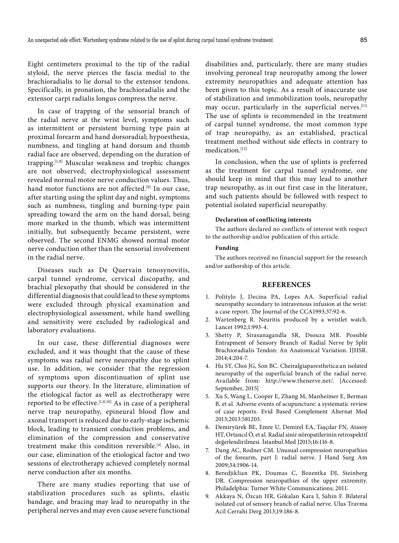Eight centimeters proximal to the tip of the radial styloid, the nerve pierces the fascia medial to the brachioradialis to lie dorsal to the extensor tendons. Specifically, in pronation, the brachioradialis and the extensor carpi radialis longus compress the nerve.

In case of trapping of the sensorial branch of the radial nerve at the wrist level, symptoms such as intermittent or persistent burning type pain at proximal forearm and hand dorsoradial; hypoesthesia, numbness, and tingling at hand dorsum and thumb radial face are observed, depending on the duration of trapping.[1,8] Muscular weakness and trophic changes are not observed; electrophysiological assessment revealed normal motor nerve conduction values. Thus, hand motor functions are not affected.<sup>[9]</sup> In our case, after starting using the splint day and night, symptoms such as numbness, tingling and burning-type pain spreading toward the arm on the hand dorsal, being more marked in the thumb, which was intermittent initially, but subsequently became persistent, were observed. The second ENMG showed normal motor nerve conduction other than the sensorial involvement in the radial nerve.

Diseases such as De Quervain tenosynovitis, carpal tunnel syndrome, cervical discopathy, and brachial plexopathy that should be considered in the differential diagnosis that could lead to these symptoms were excluded through physical examination and electrophysiological assessment, while hand swelling and sensitivity were excluded by radiological and laboratory evaluations.

In our case, these differential diagnoses were excluded, and it was thought that the cause of these symptoms was radial nerve neuropathy due to splint use. In addition, we consider that the regression of symptoms upon discontinuation of splint use supports our theory. In the literature, elimination of the etiological factor as well as electrotherapy were reported to be effective.<sup>[1,8,10]</sup> As in case of a peripheral nerve trap neuropathy, epineural blood flow and axonal transport is reduced due to early-stage ischemic block, leading to transient conduction problems, and elimination of the compression and conservative treatment make this condition reversible.[4] Also, in our case, elimination of the etiological factor and two sessions of electrotherapy achieved completely normal nerve conduction after six months.

There are many studies reporting that use of stabilization procedures such as splints, elastic bandage, and bracing may lead to neuropathy in the peripheral nerves and may even cause severe functional

disabilities and, particularly, there are many studies involving peroneal trap neuropathy among the lower extremity neuropathies and adequate attention has been given to this topic. As a result of inaccurate use of stabilization and immobilization tools, neuropathy may occur, particularly in the superficial nerves.<sup>[11]</sup> The use of splints is recommended in the treatment of carpal tunnel syndrome, the most common type of trap neuropathy, as an established, practical treatment method without side effects in contrary to medication.[12]

In conclusion, when the use of splints is preferred as the treatment for carpal tunnel syndrome, one should keep in mind that this may lead to another trap neuropathy, as in our first case in the literature, and such patients should be followed with respect to potential isolated superficial neuropathy.

#### **Declaration of conflicting interests**

The authors declared no conflicts of interest with respect to the authorship and/or publication of this article.

## **Funding**

The authors received no financial support for the research and/or authorship of this article.

## **REFERENCES**

- 1. Politylo J, Decina PA, Lopes AA. Superficial radial neuropathy secondary to intravenous infusion at the wrist: a case report. The Journal of the CCA1993;37:92-6.
- 2. Wartenberg R. Neuritis produced by a wristlet watch. Lancet 1992;1:993-4.
- 3. Shetty P, Sirasanagandla SR, Dsouza MR. Possible Entrapment of Sensory Branch of Radial Nerve by Split Brachioradialis Tendon: An Anatomical Variation. IJHSR. 2014;4:204-7.
- 4. Hu SY, Choi JG, Son BC. Cheiralgiaparesthetica:an isolated neuropathy of the superficial branch of the radial nerve. Available from: http://www.thenerve.net/. [Accessed: September, 2015]
- 5. Xu S, Wang L, Cooper E, Zhang M, Manheimer E, Berman B, et al. Adverse events of acupuncture: a systematic review of case reports. Evid Based Complement Alternat Med 2013;2013:581203.
- 6. Demiryürek BE, Emre U, Demirel EA, Taşçılar FN, Atasoy HT, Ortancıl Ö, et al. Radial sinir nöropatilerinin retrospektif değerlendirilmesi. İstanbul Med J2015;16:116-8.
- 7. Dang AC, Rodner CM. Unusual compression neuropathies of the forearm, part I: radial nerve. J Hand Surg Am 2009;34:1906-14.
- 8. Beredjiklian PK, Doumas C, Bozentka DJ, Steinberg DR. Compression neuropathies of the upper extremity. Philadelphia: Turner White Communications; 2011.
- 9. Akkaya N, Özcan HR, Gökalan Kara I, Sahin F. Bilateral isolated cut of sensory branch of radial nerve. Ulus Travma Acil Cerrahi Derg 2013;19:186-8.